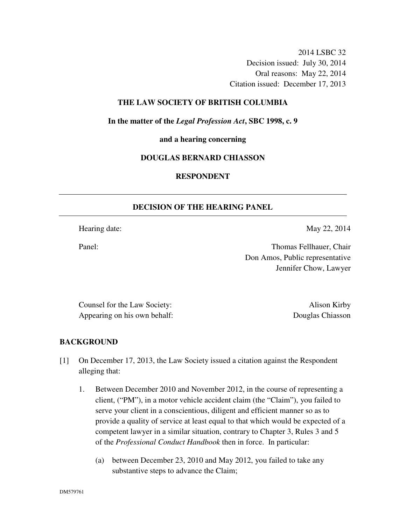2014 LSBC 32 Decision issued: July 30, 2014 Oral reasons: May 22, 2014 Citation issued: December 17, 2013

### **THE LAW SOCIETY OF BRITISH COLUMBIA**

**In the matter of the** *Legal Profession Act***, SBC 1998, c. 9** 

**and a hearing concerning** 

#### **DOUGLAS BERNARD CHIASSON**

# **RESPONDENT**

#### **DECISION OF THE HEARING PANEL**

Hearing date: May 22, 2014

Panel: Thomas Fellhauer, Chair Don Amos, Public representative Jennifer Chow, Lawyer

Counsel for the Law Society: Alison Kirby Appearing on his own behalf: Douglas Chiasson

#### **BACKGROUND**

- [1] On December 17, 2013, the Law Society issued a citation against the Respondent alleging that:
	- 1. Between December 2010 and November 2012, in the course of representing a client, ("PM"), in a motor vehicle accident claim (the "Claim"), you failed to serve your client in a conscientious, diligent and efficient manner so as to provide a quality of service at least equal to that which would be expected of a competent lawyer in a similar situation, contrary to Chapter 3, Rules 3 and 5 of the *Professional Conduct Handbook* then in force. In particular:
		- (a) between December 23, 2010 and May 2012, you failed to take any substantive steps to advance the Claim;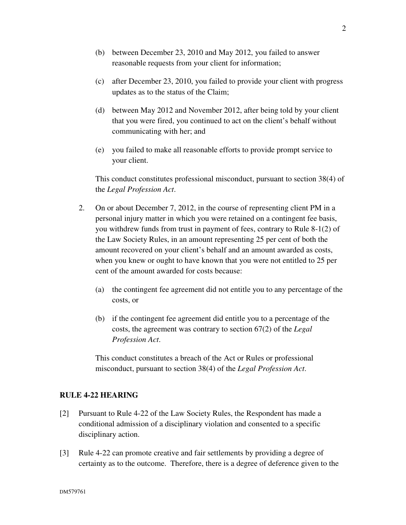- (b) between December 23, 2010 and May 2012, you failed to answer reasonable requests from your client for information;
- (c) after December 23, 2010, you failed to provide your client with progress updates as to the status of the Claim;
- (d) between May 2012 and November 2012, after being told by your client that you were fired, you continued to act on the client's behalf without communicating with her; and
- (e) you failed to make all reasonable efforts to provide prompt service to your client.

This conduct constitutes professional misconduct, pursuant to section 38(4) of the *Legal Profession Act*.

- 2. On or about December 7, 2012, in the course of representing client PM in a personal injury matter in which you were retained on a contingent fee basis, you withdrew funds from trust in payment of fees, contrary to Rule 8-1(2) of the Law Society Rules, in an amount representing 25 per cent of both the amount recovered on your client's behalf and an amount awarded as costs, when you knew or ought to have known that you were not entitled to 25 per cent of the amount awarded for costs because:
	- (a) the contingent fee agreement did not entitle you to any percentage of the costs, or
	- (b) if the contingent fee agreement did entitle you to a percentage of the costs, the agreement was contrary to section 67(2) of the *Legal Profession Act*.

This conduct constitutes a breach of the Act or Rules or professional misconduct, pursuant to section 38(4) of the *Legal Profession Act*.

# **RULE 4-22 HEARING**

- [2] Pursuant to Rule 4-22 of the Law Society Rules, the Respondent has made a conditional admission of a disciplinary violation and consented to a specific disciplinary action.
- [3] Rule 4-22 can promote creative and fair settlements by providing a degree of certainty as to the outcome. Therefore, there is a degree of deference given to the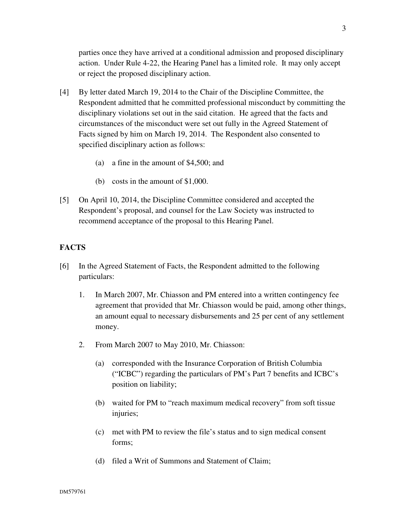parties once they have arrived at a conditional admission and proposed disciplinary action. Under Rule 4-22, the Hearing Panel has a limited role. It may only accept or reject the proposed disciplinary action.

- [4] By letter dated March 19, 2014 to the Chair of the Discipline Committee, the Respondent admitted that he committed professional misconduct by committing the disciplinary violations set out in the said citation. He agreed that the facts and circumstances of the misconduct were set out fully in the Agreed Statement of Facts signed by him on March 19, 2014. The Respondent also consented to specified disciplinary action as follows:
	- (a) a fine in the amount of \$4,500; and
	- (b) costs in the amount of \$1,000.
- [5] On April 10, 2014, the Discipline Committee considered and accepted the Respondent's proposal, and counsel for the Law Society was instructed to recommend acceptance of the proposal to this Hearing Panel.

## **FACTS**

- [6] In the Agreed Statement of Facts, the Respondent admitted to the following particulars:
	- 1. In March 2007, Mr. Chiasson and PM entered into a written contingency fee agreement that provided that Mr. Chiasson would be paid, among other things, an amount equal to necessary disbursements and 25 per cent of any settlement money.
	- 2. From March 2007 to May 2010, Mr. Chiasson:
		- (a) corresponded with the Insurance Corporation of British Columbia ("ICBC") regarding the particulars of PM's Part 7 benefits and ICBC's position on liability;
		- (b) waited for PM to "reach maximum medical recovery" from soft tissue injuries;
		- (c) met with PM to review the file's status and to sign medical consent forms;
		- (d) filed a Writ of Summons and Statement of Claim;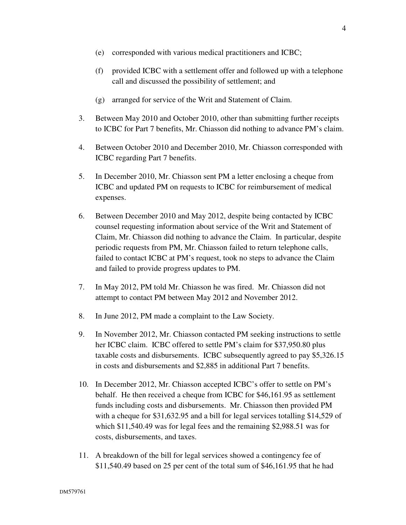- (e) corresponded with various medical practitioners and ICBC;
- (f) provided ICBC with a settlement offer and followed up with a telephone call and discussed the possibility of settlement; and
- (g) arranged for service of the Writ and Statement of Claim.
- 3. Between May 2010 and October 2010, other than submitting further receipts to ICBC for Part 7 benefits, Mr. Chiasson did nothing to advance PM's claim.
- 4. Between October 2010 and December 2010, Mr. Chiasson corresponded with ICBC regarding Part 7 benefits.
- 5. In December 2010, Mr. Chiasson sent PM a letter enclosing a cheque from ICBC and updated PM on requests to ICBC for reimbursement of medical expenses.
- 6. Between December 2010 and May 2012, despite being contacted by ICBC counsel requesting information about service of the Writ and Statement of Claim, Mr. Chiasson did nothing to advance the Claim. In particular, despite periodic requests from PM, Mr. Chiasson failed to return telephone calls, failed to contact ICBC at PM's request, took no steps to advance the Claim and failed to provide progress updates to PM.
- 7. In May 2012, PM told Mr. Chiasson he was fired. Mr. Chiasson did not attempt to contact PM between May 2012 and November 2012.
- 8. In June 2012, PM made a complaint to the Law Society.
- 9. In November 2012, Mr. Chiasson contacted PM seeking instructions to settle her ICBC claim. ICBC offered to settle PM's claim for \$37,950.80 plus taxable costs and disbursements. ICBC subsequently agreed to pay \$5,326.15 in costs and disbursements and \$2,885 in additional Part 7 benefits.
- 10. In December 2012, Mr. Chiasson accepted ICBC's offer to settle on PM's behalf. He then received a cheque from ICBC for \$46,161.95 as settlement funds including costs and disbursements. Mr. Chiasson then provided PM with a cheque for \$31,632.95 and a bill for legal services totalling \$14,529 of which \$11,540.49 was for legal fees and the remaining \$2,988.51 was for costs, disbursements, and taxes.
- 11. A breakdown of the bill for legal services showed a contingency fee of \$11,540.49 based on 25 per cent of the total sum of \$46,161.95 that he had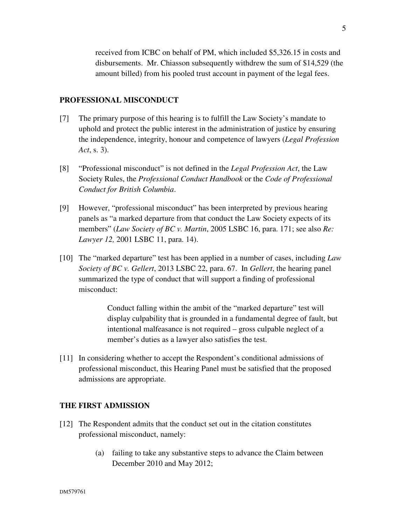received from ICBC on behalf of PM, which included \$5,326.15 in costs and disbursements. Mr. Chiasson subsequently withdrew the sum of \$14,529 (the amount billed) from his pooled trust account in payment of the legal fees.

# **PROFESSIONAL MISCONDUCT**

- [7] The primary purpose of this hearing is to fulfill the Law Society's mandate to uphold and protect the public interest in the administration of justice by ensuring the independence, integrity, honour and competence of lawyers (*Legal Profession Act*, s. 3).
- [8] "Professional misconduct" is not defined in the *Legal Profession Act*, the Law Society Rules, the *Professional Conduct Handbook* or the *Code of Professional Conduct for British Columbia*.
- [9] However, "professional misconduct" has been interpreted by previous hearing panels as "a marked departure from that conduct the Law Society expects of its members" (*Law Society of BC v. Martin*, 2005 LSBC 16, para. 171; see also *Re: Lawyer 12,* 2001 LSBC 11, para. 14).
- [10] The "marked departure" test has been applied in a number of cases, including *Law Society of BC v. Gellert*, 2013 LSBC 22, para. 67. In *Gellert*, the hearing panel summarized the type of conduct that will support a finding of professional misconduct:

Conduct falling within the ambit of the "marked departure" test will display culpability that is grounded in a fundamental degree of fault, but intentional malfeasance is not required – gross culpable neglect of a member's duties as a lawyer also satisfies the test.

[11] In considering whether to accept the Respondent's conditional admissions of professional misconduct, this Hearing Panel must be satisfied that the proposed admissions are appropriate.

# **THE FIRST ADMISSION**

- [12] The Respondent admits that the conduct set out in the citation constitutes professional misconduct, namely:
	- (a) failing to take any substantive steps to advance the Claim between December 2010 and May 2012;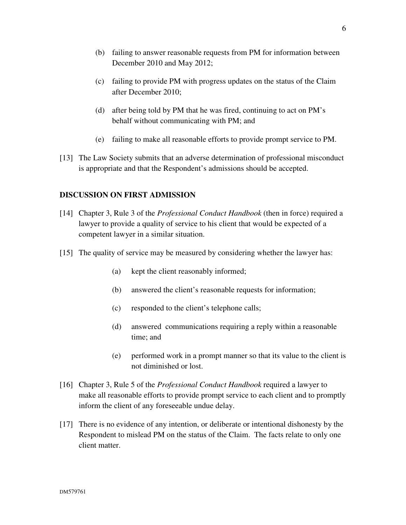- (b) failing to answer reasonable requests from PM for information between December 2010 and May 2012;
- (c) failing to provide PM with progress updates on the status of the Claim after December 2010;
- (d) after being told by PM that he was fired, continuing to act on PM's behalf without communicating with PM; and
- (e) failing to make all reasonable efforts to provide prompt service to PM.
- [13] The Law Society submits that an adverse determination of professional misconduct is appropriate and that the Respondent's admissions should be accepted.

# **DISCUSSION ON FIRST ADMISSION**

- [14] Chapter 3, Rule 3 of the *Professional Conduct Handbook* (then in force) required a lawyer to provide a quality of service to his client that would be expected of a competent lawyer in a similar situation.
- [15] The quality of service may be measured by considering whether the lawyer has:
	- (a) kept the client reasonably informed;
	- (b) answered the client's reasonable requests for information;
	- (c) responded to the client's telephone calls;
	- (d) answered communications requiring a reply within a reasonable time; and
	- (e) performed work in a prompt manner so that its value to the client is not diminished or lost.
- [16] Chapter 3, Rule 5 of the *Professional Conduct Handbook* required a lawyer to make all reasonable efforts to provide prompt service to each client and to promptly inform the client of any foreseeable undue delay.
- [17] There is no evidence of any intention, or deliberate or intentional dishonesty by the Respondent to mislead PM on the status of the Claim. The facts relate to only one client matter.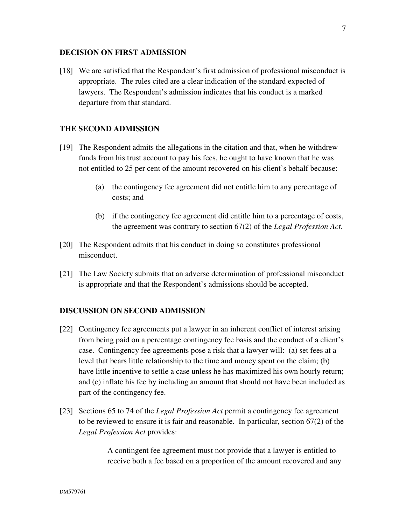#### **DECISION ON FIRST ADMISSION**

[18] We are satisfied that the Respondent's first admission of professional misconduct is appropriate. The rules cited are a clear indication of the standard expected of lawyers. The Respondent's admission indicates that his conduct is a marked departure from that standard.

# **THE SECOND ADMISSION**

- [19] The Respondent admits the allegations in the citation and that, when he withdrew funds from his trust account to pay his fees, he ought to have known that he was not entitled to 25 per cent of the amount recovered on his client's behalf because:
	- (a) the contingency fee agreement did not entitle him to any percentage of costs; and
	- (b) if the contingency fee agreement did entitle him to a percentage of costs, the agreement was contrary to section 67(2) of the *Legal Profession Act*.
- [20] The Respondent admits that his conduct in doing so constitutes professional misconduct.
- [21] The Law Society submits that an adverse determination of professional misconduct is appropriate and that the Respondent's admissions should be accepted.

## **DISCUSSION ON SECOND ADMISSION**

- [22] Contingency fee agreements put a lawyer in an inherent conflict of interest arising from being paid on a percentage contingency fee basis and the conduct of a client's case. Contingency fee agreements pose a risk that a lawyer will: (a) set fees at a level that bears little relationship to the time and money spent on the claim; (b) have little incentive to settle a case unless he has maximized his own hourly return; and (c) inflate his fee by including an amount that should not have been included as part of the contingency fee.
- [23] Sections 65 to 74 of the *Legal Profession Act* permit a contingency fee agreement to be reviewed to ensure it is fair and reasonable. In particular, section 67(2) of the *Legal Profession Act* provides:

A contingent fee agreement must not provide that a lawyer is entitled to receive both a fee based on a proportion of the amount recovered and any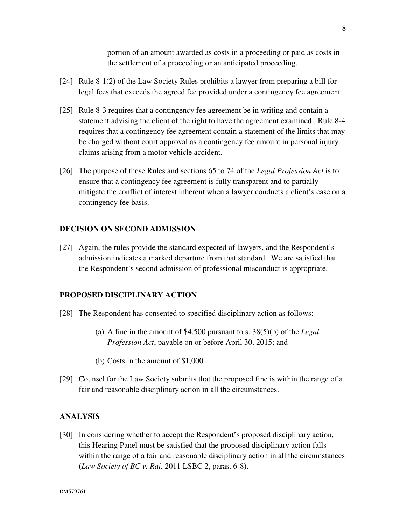portion of an amount awarded as costs in a proceeding or paid as costs in the settlement of a proceeding or an anticipated proceeding.

- [24] Rule 8-1(2) of the Law Society Rules prohibits a lawyer from preparing a bill for legal fees that exceeds the agreed fee provided under a contingency fee agreement.
- [25] Rule 8-3 requires that a contingency fee agreement be in writing and contain a statement advising the client of the right to have the agreement examined. Rule 8-4 requires that a contingency fee agreement contain a statement of the limits that may be charged without court approval as a contingency fee amount in personal injury claims arising from a motor vehicle accident.
- [26] The purpose of these Rules and sections 65 to 74 of the *Legal Profession Act* is to ensure that a contingency fee agreement is fully transparent and to partially mitigate the conflict of interest inherent when a lawyer conducts a client's case on a contingency fee basis.

### **DECISION ON SECOND ADMISSION**

[27] Again, the rules provide the standard expected of lawyers, and the Respondent's admission indicates a marked departure from that standard. We are satisfied that the Respondent's second admission of professional misconduct is appropriate.

## **PROPOSED DISCIPLINARY ACTION**

- [28] The Respondent has consented to specified disciplinary action as follows:
	- (a) A fine in the amount of \$4,500 pursuant to s. 38(5)(b) of the *Legal Profession Act*, payable on or before April 30, 2015; and
	- (b) Costs in the amount of \$1,000.
- [29] Counsel for the Law Society submits that the proposed fine is within the range of a fair and reasonable disciplinary action in all the circumstances.

### **ANALYSIS**

[30] In considering whether to accept the Respondent's proposed disciplinary action, this Hearing Panel must be satisfied that the proposed disciplinary action falls within the range of a fair and reasonable disciplinary action in all the circumstances (*Law Society of BC v. Rai,* 2011 LSBC 2, paras. 6-8).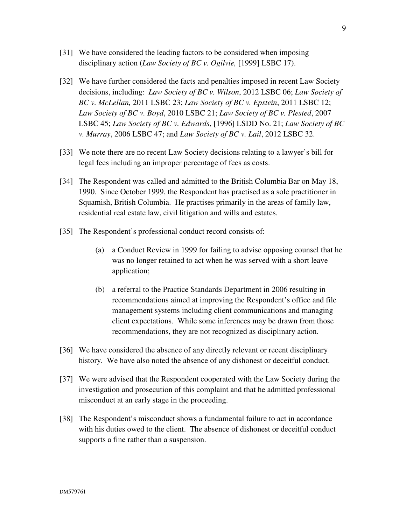- [31] We have considered the leading factors to be considered when imposing disciplinary action (*Law Society of BC v. Ogilvie,* [1999] LSBC 17).
- [32] We have further considered the facts and penalties imposed in recent Law Society decisions, including: *Law Society of BC v. Wilson*, 2012 LSBC 06; *Law Society of BC v. McLellan,* 2011 LSBC 23; *Law Society of BC v. Epstein*, 2011 LSBC 12; *Law Society of BC v. Boyd*, 2010 LSBC 21; *Law Society of BC v. Plested*, 2007 LSBC 45; *Law Society of BC v. Edwards*, [1996] LSDD No. 21; *Law Society of BC v. Murray*, 2006 LSBC 47; and *Law Society of BC v. Lail*, 2012 LSBC 32.
- [33] We note there are no recent Law Society decisions relating to a lawyer's bill for legal fees including an improper percentage of fees as costs.
- [34] The Respondent was called and admitted to the British Columbia Bar on May 18, 1990. Since October 1999, the Respondent has practised as a sole practitioner in Squamish, British Columbia. He practises primarily in the areas of family law, residential real estate law, civil litigation and wills and estates.
- [35] The Respondent's professional conduct record consists of:
	- (a) a Conduct Review in 1999 for failing to advise opposing counsel that he was no longer retained to act when he was served with a short leave application;
	- (b) a referral to the Practice Standards Department in 2006 resulting in recommendations aimed at improving the Respondent's office and file management systems including client communications and managing client expectations. While some inferences may be drawn from those recommendations, they are not recognized as disciplinary action.
- [36] We have considered the absence of any directly relevant or recent disciplinary history. We have also noted the absence of any dishonest or deceitful conduct.
- [37] We were advised that the Respondent cooperated with the Law Society during the investigation and prosecution of this complaint and that he admitted professional misconduct at an early stage in the proceeding.
- [38] The Respondent's misconduct shows a fundamental failure to act in accordance with his duties owed to the client. The absence of dishonest or deceitful conduct supports a fine rather than a suspension.